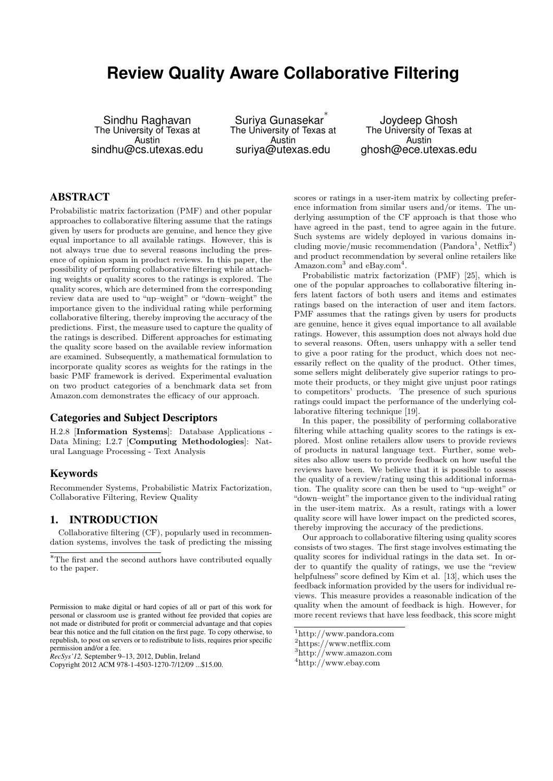# **Review Quality Aware Collaborative Filtering**

Sindhu Raghavan The University of Texas at Austin sindhu@cs.utexas.edu

Suriya Gunasekar ∗ The University of Texas at Austin suriya@utexas.edu

Joydeep Ghosh The University of Texas at Austin ghosh@ece.utexas.edu

## ABSTRACT

Probabilistic matrix factorization (PMF) and other popular approaches to collaborative filtering assume that the ratings given by users for products are genuine, and hence they give equal importance to all available ratings. However, this is not always true due to several reasons including the presence of opinion spam in product reviews. In this paper, the possibility of performing collaborative filtering while attaching weights or quality scores to the ratings is explored. The quality scores, which are determined from the corresponding review data are used to "up–weight" or "down–weight" the importance given to the individual rating while performing collaborative filtering, thereby improving the accuracy of the predictions. First, the measure used to capture the quality of the ratings is described. Different approaches for estimating the quality score based on the available review information are examined. Subsequently, a mathematical formulation to incorporate quality scores as weights for the ratings in the basic PMF framework is derived. Experimental evaluation on two product categories of a benchmark data set from Amazon.com demonstrates the efficacy of our approach.

### Categories and Subject Descriptors

H.2.8 [Information Systems]: Database Applications - Data Mining; I.2.7 [Computing Methodologies]: Natural Language Processing - Text Analysis

## Keywords

Recommender Systems, Probabilistic Matrix Factorization, Collaborative Filtering, Review Quality

## 1. INTRODUCTION

Collaborative filtering (CF), popularly used in recommendation systems, involves the task of predicting the missing

*RecSys'12,* September 9–13, 2012, Dublin, Ireland

scores or ratings in a user-item matrix by collecting preference information from similar users and/or items. The underlying assumption of the CF approach is that those who have agreed in the past, tend to agree again in the future. Such systems are widely deployed in various domains including movie/music recommendation (Pandora<sup>1</sup>, Netflix<sup>2</sup>) and product recommendation by several online retailers like Amazon.com<sup>3</sup> and eBay.com<sup>4</sup>.

Probabilistic matrix factorization (PMF) [25], which is one of the popular approaches to collaborative filtering infers latent factors of both users and items and estimates ratings based on the interaction of user and item factors. PMF assumes that the ratings given by users for products are genuine, hence it gives equal importance to all available ratings. However, this assumption does not always hold due to several reasons. Often, users unhappy with a seller tend to give a poor rating for the product, which does not necessarily reflect on the quality of the product. Other times, some sellers might deliberately give superior ratings to promote their products, or they might give unjust poor ratings to competitors' products. The presence of such spurious ratings could impact the performance of the underlying collaborative filtering technique [19].

In this paper, the possibility of performing collaborative filtering while attaching quality scores to the ratings is explored. Most online retailers allow users to provide reviews of products in natural language text. Further, some websites also allow users to provide feedback on how useful the reviews have been. We believe that it is possible to assess the quality of a review/rating using this additional information. The quality score can then be used to "up–weight" or "down–weight" the importance given to the individual rating in the user-item matrix. As a result, ratings with a lower quality score will have lower impact on the predicted scores, thereby improving the accuracy of the predictions.

Our approach to collaborative filtering using quality scores consists of two stages. The first stage involves estimating the quality scores for individual ratings in the data set. In order to quantify the quality of ratings, we use the "review helpfulness" score defined by Kim et al. [13], which uses the feedback information provided by the users for individual reviews. This measure provides a reasonable indication of the quality when the amount of feedback is high. However, for more recent reviews that have less feedback, this score might

<sup>∗</sup>The first and the second authors have contributed equally to the paper.

Permission to make digital or hard copies of all or part of this work for personal or classroom use is granted without fee provided that copies are not made or distributed for profit or commercial advantage and that copies bear this notice and the full citation on the first page. To copy otherwise, to republish, to post on servers or to redistribute to lists, requires prior specific permission and/or a fee.

Copyright 2012 ACM 978-1-4503-1270-7/12/09 ...\$15.00.

<sup>1</sup>http://www.pandora.com

<sup>2</sup>https://www.netflix.com

<sup>3</sup>http://www.amazon.com

<sup>4</sup>http://www.ebay.com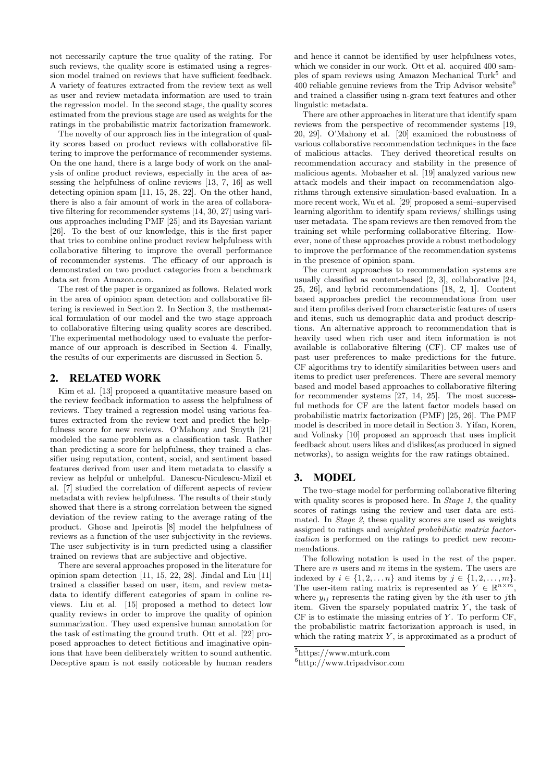not necessarily capture the true quality of the rating. For such reviews, the quality score is estimated using a regression model trained on reviews that have sufficient feedback. A variety of features extracted from the review text as well as user and review metadata information are used to train the regression model. In the second stage, the quality scores estimated from the previous stage are used as weights for the ratings in the probabilistic matrix factorization framework.

The novelty of our approach lies in the integration of quality scores based on product reviews with collaborative filtering to improve the performance of recommender systems. On the one hand, there is a large body of work on the analysis of online product reviews, especially in the area of assessing the helpfulness of online reviews [13, 7, 16] as well detecting opinion spam [11, 15, 28, 22]. On the other hand, there is also a fair amount of work in the area of collaborative filtering for recommender systems [14, 30, 27] using various approaches including PMF [25] and its Bayesian variant [26]. To the best of our knowledge, this is the first paper that tries to combine online product review helpfulness with collaborative filtering to improve the overall performance of recommender systems. The efficacy of our approach is demonstrated on two product categories from a benchmark data set from Amazon.com.

The rest of the paper is organized as follows. Related work in the area of opinion spam detection and collaborative filtering is reviewed in Section 2. In Section 3, the mathematical formulation of our model and the two stage approach to collaborative filtering using quality scores are described. The experimental methodology used to evaluate the performance of our approach is described in Section 4. Finally, the results of our experiments are discussed in Section 5.

#### 2. RELATED WORK

Kim et al. [13] proposed a quantitative measure based on the review feedback information to assess the helpfulness of reviews. They trained a regression model using various features extracted from the review text and predict the helpfulness score for new reviews. O'Mahony and Smyth [21] modeled the same problem as a classification task. Rather than predicting a score for helpfulness, they trained a classifier using reputation, content, social, and sentiment based features derived from user and item metadata to classify a review as helpful or unhelpful. Danescu-Niculescu-Mizil et al. [7] studied the correlation of different aspects of review metadata with review helpfulness. The results of their study showed that there is a strong correlation between the signed deviation of the review rating to the average rating of the product. Ghose and Ipeirotis [8] model the helpfulness of reviews as a function of the user subjectivity in the reviews. The user subjectivity is in turn predicted using a classifier trained on reviews that are subjective and objective.

There are several approaches proposed in the literature for opinion spam detection [11, 15, 22, 28]. Jindal and Liu [11] trained a classifier based on user, item, and review metadata to identify different categories of spam in online reviews. Liu et al. [15] proposed a method to detect low quality reviews in order to improve the quality of opinion summarization. They used expensive human annotation for the task of estimating the ground truth. Ott et al. [22] proposed approaches to detect fictitious and imaginative opinions that have been deliberately written to sound authentic. Deceptive spam is not easily noticeable by human readers

and hence it cannot be identified by user helpfulness votes, which we consider in our work. Ott et al. acquired 400 samples of spam reviews using Amazon Mechanical Turk<sup>5</sup> and 400 reliable genuine reviews from the Trip Advisor website<sup>6</sup> and trained a classifier using n-gram text features and other linguistic metadata.

There are other approaches in literature that identify spam reviews from the perspective of recommender systems [19, 20, 29]. O'Mahony et al. [20] examined the robustness of various collaborative recommendation techniques in the face of malicious attacks. They derived theoretical results on recommendation accuracy and stability in the presence of malicious agents. Mobasher et al. [19] analyzed various new attack models and their impact on recommendation algorithms through extensive simulation-based evaluation. In a more recent work, Wu et al. [29] proposed a semi–supervised learning algorithm to identify spam reviews/ shillings using user metadata. The spam reviews are then removed from the training set while performing collaborative filtering. However, none of these approaches provide a robust methodology to improve the performance of the recommendation systems in the presence of opinion spam.

The current approaches to recommendation systems are usually classified as content-based [2, 3], collaborative [24, 25, 26], and hybrid recommendations [18, 2, 1]. Content based approaches predict the recommendations from user and item profiles derived from characteristic features of users and items, such us demographic data and product descriptions. An alternative approach to recommendation that is heavily used when rich user and item information is not available is collaborative filtering (CF). CF makes use of past user preferences to make predictions for the future. CF algorithms try to identify similarities between users and items to predict user preferences. There are several memory based and model based approaches to collaborative filtering for recommender systems [27, 14, 25]. The most successful methods for CF are the latent factor models based on probabilistic matrix factorization (PMF) [25, 26]. The PMF model is described in more detail in Section 3. Yifan, Koren, and Volinsky [10] proposed an approach that uses implicit feedback about users likes and dislikes(as produced in signed networks), to assign weights for the raw ratings obtained.

### 3. MODEL

The two–stage model for performing collaborative filtering with quality scores is proposed here. In Stage  $1$ , the quality scores of ratings using the review and user data are estimated. In *Stage 2*, these quality scores are used as weights assigned to ratings and weighted probabilistic matrix factorization is performed on the ratings to predict new recommendations.

The following notation is used in the rest of the paper. There are  $n$  users and  $m$  items in the system. The users are indexed by  $i \in \{1, 2, \ldots, n\}$  and items by  $j \in \{1, 2, \ldots, m\}$ . The user-item rating matrix is represented as  $Y \in \mathbb{R}^{n \times m}$ , where  $y_{ij}$  represents the rating given by the *i*th user to *j*th item. Given the sparsely populated matrix  $Y$ , the task of  $CF$  is to estimate the missing entries of  $Y$ . To perform  $CF$ , the probabilistic matrix factorization approach is used, in which the rating matrix  $Y$ , is approximated as a product of

 ${\rm ^5}$  https://www.mturk.com

<sup>6</sup>http://www.tripadvisor.com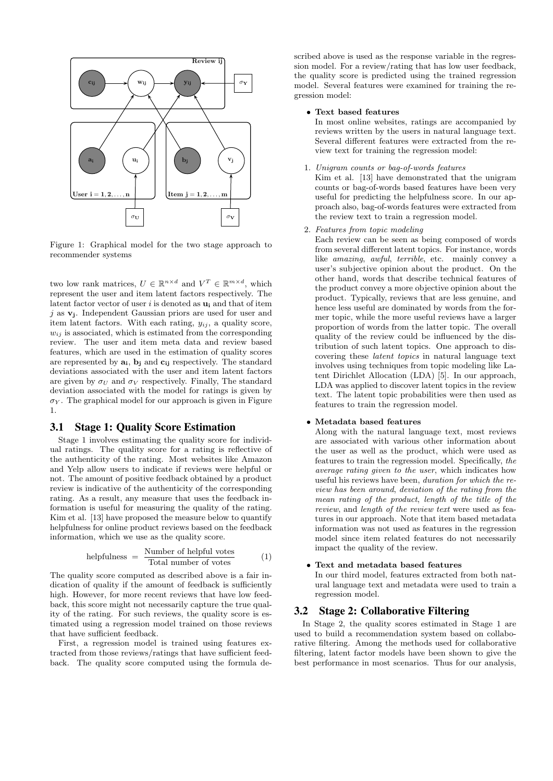

Figure 1: Graphical model for the two stage approach to recommender systems

two low rank matrices,  $U \in \mathbb{R}^{n \times d}$  and  $V^T \in \mathbb{R}^{m \times d}$ , which represent the user and item latent factors respectively. The latent factor vector of user i is denoted as  $\mathbf{u}_i$  and that of item j as  $v_i$ . Independent Gaussian priors are used for user and item latent factors. With each rating,  $y_{ij}$ , a quality score,  $w_{ij}$  is associated, which is estimated from the corresponding review. The user and item meta data and review based features, which are used in the estimation of quality scores are represented by  $\mathbf{a_i}$ ,  $\mathbf{b_j}$  and  $\mathbf{c_{ij}}$  respectively. The standard deviations associated with the user and item latent factors are given by  $\sigma_U$  and  $\sigma_V$  respectively. Finally, The standard deviation associated with the model for ratings is given by  $\sigma_Y$ . The graphical model for our approach is given in Figure 1.

### 3.1 Stage 1: Quality Score Estimation

Stage 1 involves estimating the quality score for individual ratings. The quality score for a rating is reflective of the authenticity of the rating. Most websites like Amazon and Yelp allow users to indicate if reviews were helpful or not. The amount of positive feedback obtained by a product review is indicative of the authenticity of the corresponding rating. As a result, any measure that uses the feedback information is useful for measuring the quality of the rating. Kim et al. [13] have proposed the measure below to quantify helpfulness for online product reviews based on the feedback information, which we use as the quality score.

$$
helpfulness = \frac{Number of helpful votes}{Total number of votes}
$$
 (1)

The quality score computed as described above is a fair indication of quality if the amount of feedback is sufficiently high. However, for more recent reviews that have low feedback, this score might not necessarily capture the true quality of the rating. For such reviews, the quality score is estimated using a regression model trained on those reviews that have sufficient feedback.

First, a regression model is trained using features extracted from those reviews/ratings that have sufficient feedback. The quality score computed using the formula described above is used as the response variable in the regression model. For a review/rating that has low user feedback, the quality score is predicted using the trained regression model. Several features were examined for training the regression model:

#### • Text based features

In most online websites, ratings are accompanied by reviews written by the users in natural language text. Several different features were extracted from the review text for training the regression model:

1. Unigram counts or bag-of-words features

Kim et al. [13] have demonstrated that the unigram counts or bag-of-words based features have been very useful for predicting the helpfulness score. In our approach also, bag-of-words features were extracted from the review text to train a regression model.

2. Features from topic modeling

Each review can be seen as being composed of words from several different latent topics. For instance, words like amazing, awful, terrible, etc. mainly convey a user's subjective opinion about the product. On the other hand, words that describe technical features of the product convey a more objective opinion about the product. Typically, reviews that are less genuine, and hence less useful are dominated by words from the former topic, while the more useful reviews have a larger proportion of words from the latter topic. The overall quality of the review could be influenced by the distribution of such latent topics. One approach to discovering these latent topics in natural language text involves using techniques from topic modeling like Latent Dirichlet Allocation (LDA) [5]. In our approach, LDA was applied to discover latent topics in the review text. The latent topic probabilities were then used as features to train the regression model.

#### • Metadata based features

Along with the natural language text, most reviews are associated with various other information about the user as well as the product, which were used as features to train the regression model. Specifically, the average rating given to the user, which indicates how useful his reviews have been, duration for which the review has been around, deviation of the rating from the mean rating of the product, length of the title of the review, and length of the review text were used as features in our approach. Note that item based metadata information was not used as features in the regression model since item related features do not necessarily impact the quality of the review.

#### • Text and metadata based features

In our third model, features extracted from both natural language text and metadata were used to train a regression model.

### 3.2 Stage 2: Collaborative Filtering

In Stage 2, the quality scores estimated in Stage 1 are used to build a recommendation system based on collaborative filtering. Among the methods used for collaborative filtering, latent factor models have been shown to give the best performance in most scenarios. Thus for our analysis,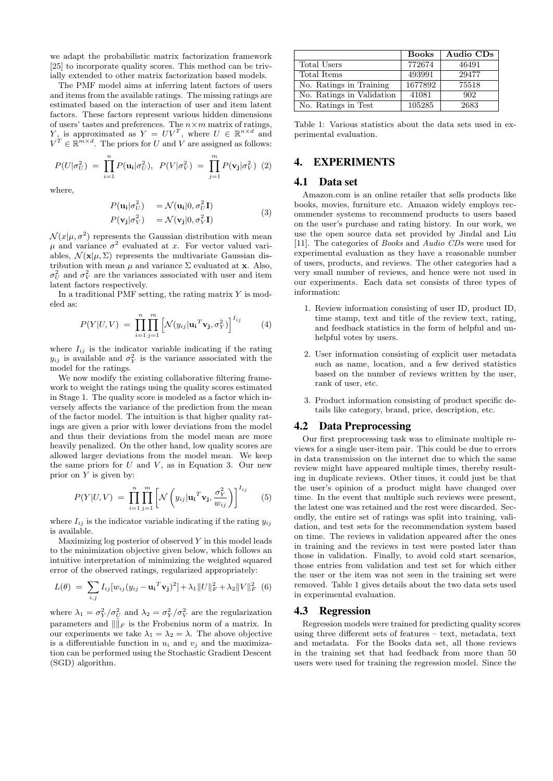we adapt the probabilistic matrix factorization framework [25] to incorporate quality scores. This method can be trivially extended to other matrix factorization based models.

The PMF model aims at inferring latent factors of users and items from the available ratings. The missing ratings are estimated based on the interaction of user and item latent factors. These factors represent various hidden dimensions of users' tastes and preferences. The  $n \times m$  matrix of ratings, Y, is approximated as  $Y = UV^T$ , where  $U \in \mathbb{R}^{n \times d}$  and  $V^T \in \mathbb{R}^{m \times d}$ . The priors for U and V are assigned as follows:

$$
P(U|\sigma_U^2) = \prod_{i=1}^n P(\mathbf{u_i}|\sigma_U^2), \ P(V|\sigma_V^2) = \prod_{j=1}^m P(\mathbf{v_j}|\sigma_V^2) \ (2)
$$

where,

$$
P(\mathbf{u_i}|\sigma_U^2) = \mathcal{N}(\mathbf{u_i}|0, \sigma_U^2 \mathbf{I})
$$
  
\n
$$
P(\mathbf{v_j}|\sigma_V^2) = \mathcal{N}(\mathbf{v_j}|0, \sigma_V^2 \mathbf{I})
$$
\n(3)

 $\mathcal{N}(x|\mu, \sigma^2)$  represents the Gaussian distribution with mean  $\mu$  and variance  $\sigma^2$  evaluated at x. For vector valued variables,  $\mathcal{N}(\mathbf{x}|\mu, \Sigma)$  represents the multivariate Gaussian distribution with mean  $\mu$  and variance  $\Sigma$  evaluated at **x**. Also,  $\sigma_U^2$  and  $\sigma_V^2$  are the variances associated with user and item latent factors respectively.

In a traditional PMF setting, the rating matrix  $Y$  is modeled as:

$$
P(Y|U,V) = \prod_{i=1}^{n} \prod_{j=1}^{m} \left[ \mathcal{N}(y_{ij} | \mathbf{u_i}^T \mathbf{v_j}, \sigma_Y^2) \right]^{I_{ij}} \tag{4}
$$

where  $I_{ij}$  is the indicator variable indicating if the rating  $y_{ij}$  is available and  $\sigma_Y^2$  is the variance associated with the model for the ratings.

We now modify the existing collaborative filtering framework to weight the ratings using the quality scores estimated in Stage 1. The quality score is modeled as a factor which inversely affects the variance of the prediction from the mean of the factor model. The intuition is that higher quality ratings are given a prior with lower deviations from the model and thus their deviations from the model mean are more heavily penalized. On the other hand, low quality scores are allowed larger deviations from the model mean. We keep the same priors for  $U$  and  $V$ , as in Equation 3. Our new prior on  $Y$  is given by:

$$
P(Y|U,V) = \prod_{i=1}^{n} \prod_{j=1}^{m} \left[ \mathcal{N}\left(y_{ij} | \mathbf{u_i}^T \mathbf{v_j}, \frac{\sigma_Y^2}{w_{ij}}\right) \right]^{I_{ij}} \tag{5}
$$

where  $I_{ij}$  is the indicator variable indicating if the rating  $y_{ij}$ is available.

Maximizing  $log$  posterior of observed  $Y$  in this model leads to the minimization objective given below, which follows an intuitive interpretation of minimizing the weighted squared error of the observed ratings, regularized appropriately:

$$
L(\theta) = \sum_{i,j} I_{ij} [w_{ij} (y_{ij} - {\bf u_i}^T {\bf v_j})^2] + \lambda_1 ||U||_F^2 + \lambda_2 ||V||_F^2
$$
 (6)

where  $\lambda_1 = \sigma_Y^2/\sigma_U^2$  and  $\lambda_2 = \sigma_Y^2/\sigma_V^2$  are the regularization parameters and  $\|\dot\|_F$  is the Frobenius norm of a matrix. In our experiments we take  $\lambda_1 = \lambda_2 = \lambda$ . The above objective is a differentiable function in  $u_i$  and  $v_j$  and the maximization can be performed using the Stochastic Gradient Descent (SGD) algorithm.

|                           | <b>Books</b> | Audio CDs |
|---------------------------|--------------|-----------|
| Total Users               | 772674       | 46491     |
| Total Items               | 493991       | 29477     |
| No. Ratings in Training   | 1677892      | 75518     |
| No. Ratings in Validation | 41081        | 902       |
| No. Ratings in Test       | 105285       | 2683      |

Table 1: Various statistics about the data sets used in experimental evaluation.

## 4. EXPERIMENTS

### 4.1 Data set

Amazon.com is an online retailer that sells products like books, movies, furniture etc. Amazon widely employs recommender systems to recommend products to users based on the user's purchase and rating history. In our work, we use the open source data set provided by Jindal and Liu [11]. The categories of Books and Audio CDs were used for experimental evaluation as they have a reasonable number of users, products, and reviews. The other categories had a very small number of reviews, and hence were not used in our experiments. Each data set consists of three types of information:

- 1. Review information consisting of user ID, product ID, time stamp, text and title of the review text, rating, and feedback statistics in the form of helpful and unhelpful votes by users.
- 2. User information consisting of explicit user metadata such as name, location, and a few derived statistics based on the number of reviews written by the user, rank of user, etc.
- 3. Product information consisting of product specific details like category, brand, price, description, etc.

#### 4.2 Data Preprocessing

Our first preprocessing task was to eliminate multiple reviews for a single user-item pair. This could be due to errors in data transmission on the internet due to which the same review might have appeared multiple times, thereby resulting in duplicate reviews. Other times, it could just be that the user's opinion of a product might have changed over time. In the event that multiple such reviews were present, the latest one was retained and the rest were discarded. Secondly, the entire set of ratings was split into training, validation, and test sets for the recommendation system based on time. The reviews in validation appeared after the ones in training and the reviews in test were posted later than those in validation. Finally, to avoid cold start scenarios, those entries from validation and test set for which either the user or the item was not seen in the training set were removed. Table 1 gives details about the two data sets used in experimental evaluation.

#### 4.3 Regression

Regression models were trained for predicting quality scores using three different sets of features – text, metadata, text and metadata. For the Books data set, all those reviews in the training set that had feedback from more than 50 users were used for training the regression model. Since the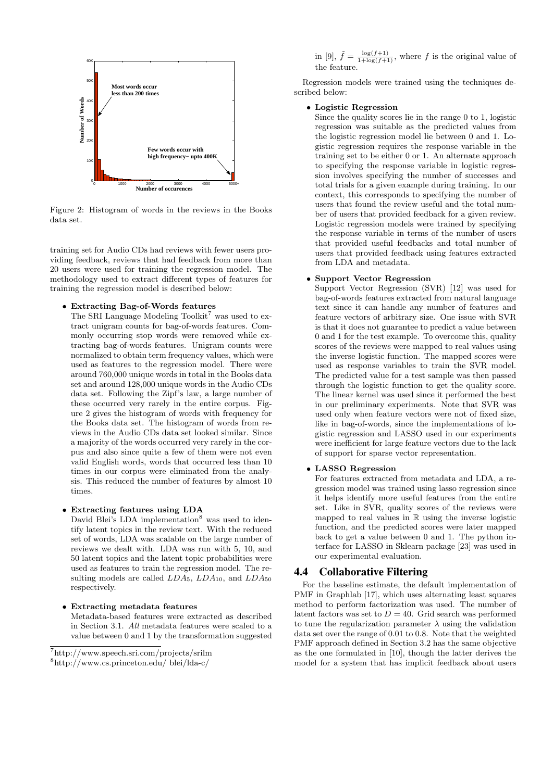

Figure 2: Histogram of words in the reviews in the Books data set.

training set for Audio CDs had reviews with fewer users providing feedback, reviews that had feedback from more than 20 users were used for training the regression model. The methodology used to extract different types of features for training the regression model is described below:

• Extracting Bag-of-Words features

The SRI Language Modeling Toolkit<sup>7</sup> was used to extract unigram counts for bag-of-words features. Commonly occurring stop words were removed while extracting bag-of-words features. Unigram counts were normalized to obtain term frequency values, which were used as features to the regression model. There were around 760,000 unique words in total in the Books data set and around 128,000 unique words in the Audio CDs data set. Following the Zipf's law, a large number of these occurred very rarely in the entire corpus. Figure 2 gives the histogram of words with frequency for the Books data set. The histogram of words from reviews in the Audio CDs data set looked similar. Since a majority of the words occurred very rarely in the corpus and also since quite a few of them were not even valid English words, words that occurred less than 10 times in our corpus were eliminated from the analysis. This reduced the number of features by almost 10 times.

#### • Extracting features using LDA

David Blei's LDA implementation<sup>8</sup> was used to identify latent topics in the review text. With the reduced set of words, LDA was scalable on the large number of reviews we dealt with. LDA was run with 5, 10, and 50 latent topics and the latent topic probabilities were used as features to train the regression model. The resulting models are called  $LDA_5$ ,  $LDA_{10}$ , and  $LDA_{50}$ respectively.

• Extracting metadata features Metadata-based features were extracted as described in Section 3.1. All metadata features were scaled to a value between 0 and 1 by the transformation suggested

in [9],  $\tilde{f} = \frac{\log(f+1)}{1+\log(f+1)}$ , where f is the original value of the feature.

Regression models were trained using the techniques described below:

#### • Logistic Regression

Since the quality scores lie in the range 0 to 1, logistic regression was suitable as the predicted values from the logistic regression model lie between 0 and 1. Logistic regression requires the response variable in the training set to be either 0 or 1. An alternate approach to specifying the response variable in logistic regression involves specifying the number of successes and total trials for a given example during training. In our context, this corresponds to specifying the number of users that found the review useful and the total number of users that provided feedback for a given review. Logistic regression models were trained by specifying the response variable in terms of the number of users that provided useful feedbacks and total number of users that provided feedback using features extracted from LDA and metadata.

#### • Support Vector Regression

Support Vector Regression (SVR) [12] was used for bag-of-words features extracted from natural language text since it can handle any number of features and feature vectors of arbitrary size. One issue with SVR is that it does not guarantee to predict a value between 0 and 1 for the test example. To overcome this, quality scores of the reviews were mapped to real values using the inverse logistic function. The mapped scores were used as response variables to train the SVR model. The predicted value for a test sample was then passed through the logistic function to get the quality score. The linear kernel was used since it performed the best in our preliminary experiments. Note that SVR was used only when feature vectors were not of fixed size, like in bag-of-words, since the implementations of logistic regression and LASSO used in our experiments were inefficient for large feature vectors due to the lack of support for sparse vector representation.

#### • LASSO Regression

For features extracted from metadata and LDA, a regression model was trained using lasso regression since it helps identify more useful features from the entire set. Like in SVR, quality scores of the reviews were mapped to real values in  $\mathbb R$  using the inverse logistic function, and the predicted scores were later mapped back to get a value between 0 and 1. The python interface for LASSO in Sklearn package [23] was used in our experimental evaluation.

#### 4.4 Collaborative Filtering

For the baseline estimate, the default implementation of PMF in Graphlab [17], which uses alternating least squares method to perform factorization was used. The number of latent factors was set to  $D = 40$ . Grid search was performed to tune the regularization parameter  $\lambda$  using the validation data set over the range of 0.01 to 0.8. Note that the weighted PMF approach defined in Section 3.2 has the same objective as the one formulated in [10], though the latter derives the model for a system that has implicit feedback about users

<sup>7</sup>http://www.speech.sri.com/projects/srilm

<sup>8</sup>http://www.cs.princeton.edu/ blei/lda-c/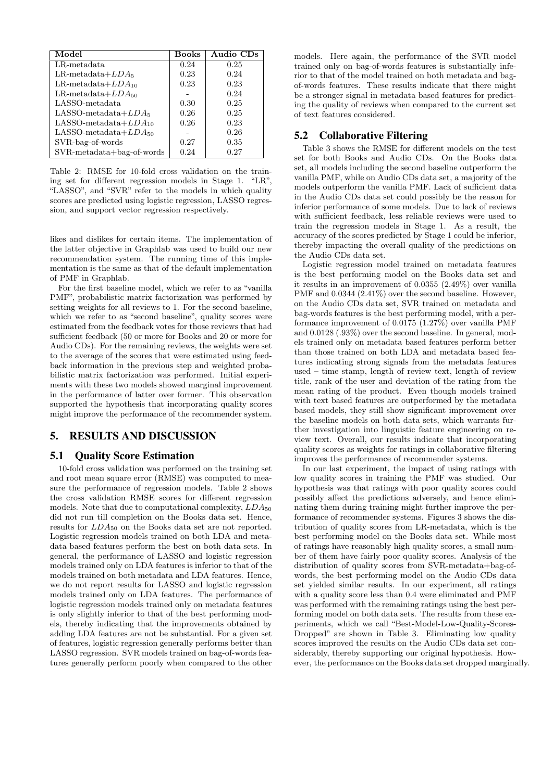| Model                      | Books | Audio CDs |
|----------------------------|-------|-----------|
| $LR$ -metadata             | 0.24  | 0.25      |
| LR-metadata $+LDA_5$       | 0.23  | 0.24      |
| LR-metadata $+LDA_{10}$    | 0.23  | 0.23      |
| LR-metadata $+LDA_{50}$    |       | 0.24      |
| LASSO-metadata             | 0.30  | 0.25      |
| LASSO-metadata $+LDA_5$    | 0.26  | 0.25      |
| LASSO-metadata $+LDA_{10}$ | 0.26  | 0.23      |
| LASSO-metadata $+LDA_{50}$ |       | 0.26      |
| SVR-bag-of-words           | 0.27  | 0.35      |
| SVR-metadata+bag-of-words  | 0.24  | 0.27      |

Table 2: RMSE for 10-fold cross validation on the training set for different regression models in Stage 1. "LR", "LASSO", and "SVR" refer to the models in which quality scores are predicted using logistic regression, LASSO regression, and support vector regression respectively.

likes and dislikes for certain items. The implementation of the latter objective in Graphlab was used to build our new recommendation system. The running time of this implementation is the same as that of the default implementation of PMF in Graphlab.

For the first baseline model, which we refer to as "vanilla PMF", probabilistic matrix factorization was performed by setting weights for all reviews to 1. For the second baseline, which we refer to as "second baseline", quality scores were estimated from the feedback votes for those reviews that had sufficient feedback (50 or more for Books and 20 or more for Audio CDs). For the remaining reviews, the weights were set to the average of the scores that were estimated using feedback information in the previous step and weighted probabilistic matrix factorization was performed. Initial experiments with these two models showed marginal improvement in the performance of latter over former. This observation supported the hypothesis that incorporating quality scores might improve the performance of the recommender system.

## 5. RESULTS AND DISCUSSION

## 5.1 Quality Score Estimation

10-fold cross validation was performed on the training set and root mean square error (RMSE) was computed to measure the performance of regression models. Table 2 shows the cross validation RMSE scores for different regression models. Note that due to computational complexity,  $LDA_{50}$ did not run till completion on the Books data set. Hence, results for  $LDA_{50}$  on the Books data set are not reported. Logistic regression models trained on both LDA and metadata based features perform the best on both data sets. In general, the performance of LASSO and logistic regression models trained only on LDA features is inferior to that of the models trained on both metadata and LDA features. Hence, we do not report results for LASSO and logistic regression models trained only on LDA features. The performance of logistic regression models trained only on metadata features is only slightly inferior to that of the best performing models, thereby indicating that the improvements obtained by adding LDA features are not be substantial. For a given set of features, logistic regression generally performs better than LASSO regression. SVR models trained on bag-of-words features generally perform poorly when compared to the other

models. Here again, the performance of the SVR model trained only on bag-of-words features is substantially inferior to that of the model trained on both metadata and bagof-words features. These results indicate that there might be a stronger signal in metadata based features for predicting the quality of reviews when compared to the current set of text features considered.

## 5.2 Collaborative Filtering

Table 3 shows the RMSE for different models on the test set for both Books and Audio CDs. On the Books data set, all models including the second baseline outperform the vanilla PMF, while on Audio CDs data set, a majority of the models outperform the vanilla PMF. Lack of sufficient data in the Audio CDs data set could possibly be the reason for inferior performance of some models. Due to lack of reviews with sufficient feedback, less reliable reviews were used to train the regression models in Stage 1. As a result, the accuracy of the scores predicted by Stage 1 could be inferior, thereby impacting the overall quality of the predictions on the Audio CDs data set.

Logistic regression model trained on metadata features is the best performing model on the Books data set and it results in an improvement of 0.0355 (2.49%) over vanilla PMF and  $0.0344$  (2.41%) over the second baseline. However, on the Audio CDs data set, SVR trained on metadata and bag-words features is the best performing model, with a performance improvement of 0.0175 (1.27%) over vanilla PMF and 0.0128 (.93%) over the second baseline. In general, models trained only on metadata based features perform better than those trained on both LDA and metadata based features indicating strong signals from the metadata features used – time stamp, length of review text, length of review title, rank of the user and deviation of the rating from the mean rating of the product. Even though models trained with text based features are outperformed by the metadata based models, they still show significant improvement over the baseline models on both data sets, which warrants further investigation into linguistic feature engineering on review text. Overall, our results indicate that incorporating quality scores as weights for ratings in collaborative filtering improves the performance of recommender systems.

In our last experiment, the impact of using ratings with low quality scores in training the PMF was studied. Our hypothesis was that ratings with poor quality scores could possibly affect the predictions adversely, and hence eliminating them during training might further improve the performance of recommender systems. Figures 3 shows the distribution of quality scores from LR-metadata, which is the best performing model on the Books data set. While most of ratings have reasonably high quality scores, a small number of them have fairly poor quality scores. Analysis of the distribution of quality scores from SVR-metadata+bag-ofwords, the best performing model on the Audio CDs data set yielded similar results. In our experiment, all ratings with a quality score less than 0.4 were eliminated and PMF was performed with the remaining ratings using the best performing model on both data sets. The results from these experiments, which we call "Best-Model-Low-Quality-Scores-Dropped" are shown in Table 3. Eliminating low quality scores improved the results on the Audio CDs data set considerably, thereby supporting our original hypothesis. However, the performance on the Books data set dropped marginally.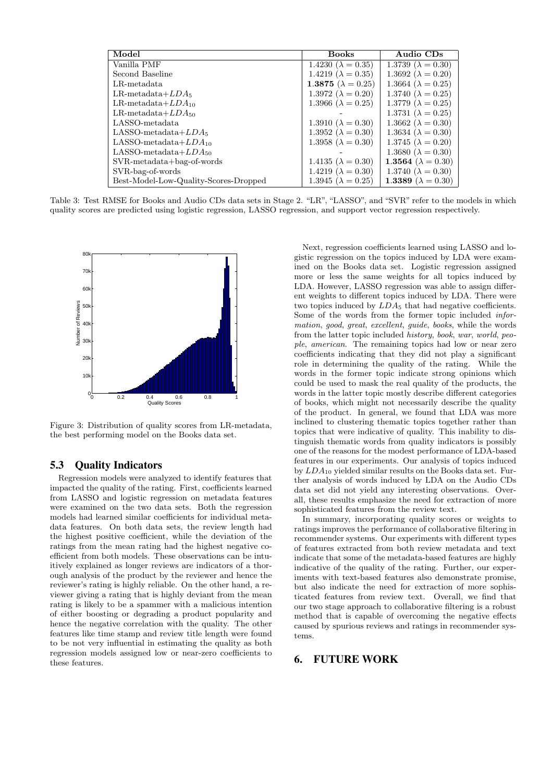| Model                                 | <b>Books</b>                | Audio CDs                   |
|---------------------------------------|-----------------------------|-----------------------------|
| Vanilla PMF                           | 1.4230 ( $\lambda = 0.35$ ) | 1.3739 ( $\lambda = 0.30$ ) |
| Second Baseline                       | 1.4219 ( $\lambda = 0.35$ ) | 1.3692 ( $\lambda = 0.20$ ) |
| LR-metadata                           | 1.3875 ( $\lambda = 0.25$ ) | 1.3664 ( $\lambda = 0.25$ ) |
| LR-metadata $+LDA_5$                  | 1.3972 ( $\lambda = 0.20$ ) | 1.3740 ( $\lambda = 0.25$ ) |
| LR-metadata $+LDA_{10}$               | 1.3966 ( $\lambda = 0.25$ ) | 1.3779 ( $\lambda = 0.25$ ) |
| LR-metadata $+LDA_{50}$               |                             | 1.3731 ( $\lambda = 0.25$ ) |
| LASSO-metadata                        | 1.3910 ( $\lambda = 0.30$ ) | 1.3662 ( $\lambda = 0.30$ ) |
| LASSO-metadata $+LDA_5$               | 1.3952 ( $\lambda = 0.30$ ) | 1.3634 ( $\lambda = 0.30$ ) |
| LASSO-metadata $+LDA_{10}$            | 1.3958 ( $\lambda = 0.30$ ) | 1.3745 ( $\lambda = 0.20$ ) |
| LASSO-metadata $+LDA_{50}$            |                             | 1.3680 ( $\lambda = 0.30$ ) |
| $SVR-metalata+bag-of-words$           | 1.4135 ( $\lambda = 0.30$ ) | 1.3564 ( $\lambda = 0.30$ ) |
| SVR-bag-of-words                      | 1.4219 ( $\lambda = 0.30$ ) | 1.3740 ( $\lambda = 0.30$ ) |
| Best-Model-Low-Quality-Scores-Dropped | 1.3945 ( $\lambda = 0.25$ ) | 1.3389 ( $\lambda = 0.30$ ) |

Table 3: Test RMSE for Books and Audio CDs data sets in Stage 2. "LR", "LASSO", and "SVR" refer to the models in which quality scores are predicted using logistic regression, LASSO regression, and support vector regression respectively.



Figure 3: Distribution of quality scores from LR-metadata, the best performing model on the Books data set.

## 5.3 Quality Indicators

Regression models were analyzed to identify features that impacted the quality of the rating. First, coefficients learned from LASSO and logistic regression on metadata features were examined on the two data sets. Both the regression models had learned similar coefficients for individual metadata features. On both data sets, the review length had the highest positive coefficient, while the deviation of the ratings from the mean rating had the highest negative coefficient from both models. These observations can be intuitively explained as longer reviews are indicators of a thorough analysis of the product by the reviewer and hence the reviewer's rating is highly reliable. On the other hand, a reviewer giving a rating that is highly deviant from the mean rating is likely to be a spammer with a malicious intention of either boosting or degrading a product popularity and hence the negative correlation with the quality. The other features like time stamp and review title length were found to be not very influential in estimating the quality as both regression models assigned low or near-zero coefficients to these features.

Next, regression coefficients learned using LASSO and logistic regression on the topics induced by LDA were examined on the Books data set. Logistic regression assigned more or less the same weights for all topics induced by LDA. However, LASSO regression was able to assign different weights to different topics induced by LDA. There were two topics induced by  $LDA_5$  that had negative coefficients. Some of the words from the former topic included information, good, great, excellent, guide, books, while the words from the latter topic included history, book, war, world, people, american. The remaining topics had low or near zero coefficients indicating that they did not play a significant role in determining the quality of the rating. While the words in the former topic indicate strong opinions which could be used to mask the real quality of the products, the words in the latter topic mostly describe different categories of books, which might not necessarily describe the quality of the product. In general, we found that LDA was more inclined to clustering thematic topics together rather than topics that were indicative of quality. This inability to distinguish thematic words from quality indicators is possibly one of the reasons for the modest performance of LDA-based features in our experiments. Our analysis of topics induced by  $LDA_{10}$  yielded similar results on the Books data set. Further analysis of words induced by LDA on the Audio CDs data set did not yield any interesting observations. Overall, these results emphasize the need for extraction of more sophisticated features from the review text.

In summary, incorporating quality scores or weights to ratings improves the performance of collaborative filtering in recommender systems. Our experiments with different types of features extracted from both review metadata and text indicate that some of the metadata-based features are highly indicative of the quality of the rating. Further, our experiments with text-based features also demonstrate promise, but also indicate the need for extraction of more sophisticated features from review text. Overall, we find that our two stage approach to collaborative filtering is a robust method that is capable of overcoming the negative effects caused by spurious reviews and ratings in recommender systems.

## 6. FUTURE WORK